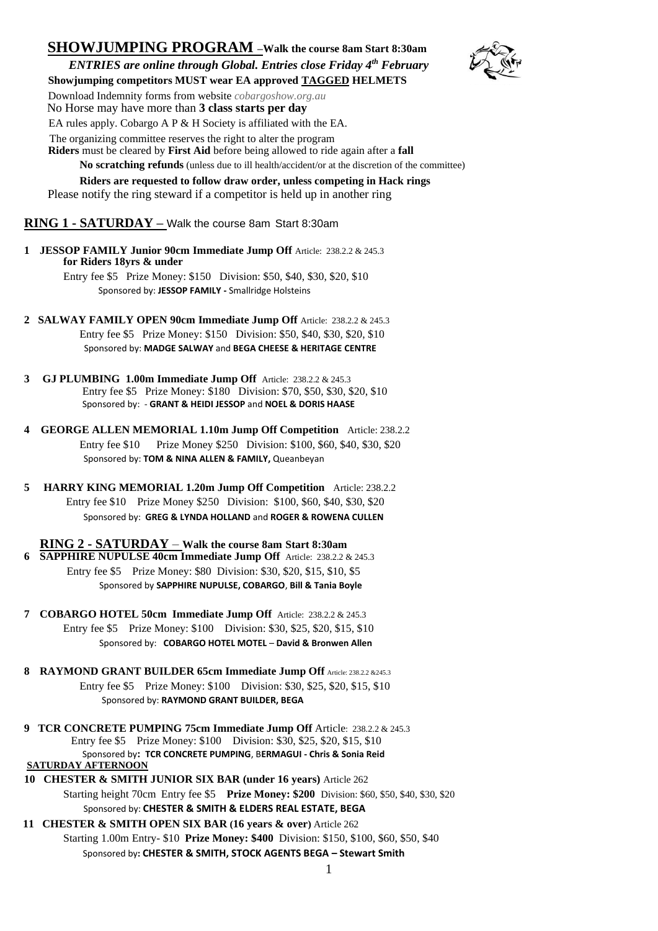## **SHOWJUMPING PROGRAM –Walk the course 8am Start 8:30am** *ENTRIES are online through Global. Entries close Friday 4th February*



 **Showjumping competitors MUST wear EA approved TAGGED HELMETS**

Download Indemnity forms from website *cobargoshow.org.au*

No Horse may have more than **3 class starts per day**

EA rules apply. Cobargo A P & H Society is affiliated with the EA.

The organizing committee reserves the right to alter the program

 **Riders** must be cleared by **First Aid** before being allowed to ride again after a **fall** 

**No scratching refunds** (unless due to ill health/accident/or at the discretion of the committee)

 **Riders are requested to follow draw order, unless competing in Hack rings** Please notify the ring steward if a competitor is held up in another ring

## **RING 1 - SATURDAY –** Walk the course 8am Start 8:30am

**1 JESSOP FAMILY Junior 90cm Immediate Jump Off** Article: 238.2.2 & 245.3 **for Riders 18yrs & under**

Entry fee \$5 Prize Money: \$150 Division: \$50, \$40, \$30, \$20, \$10 Sponsored by: **JESSOP FAMILY -** Smallridge Holsteins

- **2 SALWAY FAMILY OPEN 90cm Immediate Jump Off** Article: 238.2.2 & 245.3 Entry fee \$5 Prize Money: \$150 Division: \$50, \$40, \$30, \$20, \$10 Sponsored by: **MADGE SALWAY** and **BEGA CHEESE & HERITAGE CENTRE**
- **3 GJ PLUMBING 1.00m Immediate Jump Off** Article: 238.2.2 & 245.3 Entry fee \$5 Prize Money: \$180 Division: \$70, \$50, \$30, \$20, \$10 Sponsored by: - **GRANT & HEIDI JESSOP** and **NOEL & DORIS HAASE**
- **4 GEORGE ALLEN MEMORIAL 1.10m Jump Off Competition** Article: 238.2.2 Entry fee \$10 Prize Money \$250 Division: \$100, \$60, \$40, \$30, \$20 Sponsored by: **TOM & NINA ALLEN & FAMILY,** Queanbeyan
- **5 HARRY KING MEMORIAL 1.20m Jump Off Competition** Article: 238.2.2 Entry fee \$10 Prize Money \$250 Division: \$100, \$60, \$40, \$30, \$20 Sponsored by: **GREG & LYNDA HOLLAND** and **ROGER & ROWENA CULLEN**

**RING 2 - SATURDAY** – **Walk the course 8am Start 8:30am 6 SAPPHIRE NUPULSE 40cm Immediate Jump Off** Article: 238.2.2 & 245.3Entry fee \$5 Prize Money: \$80 Division: \$30, \$20, \$15, \$10, \$5 Sponsored by **SAPPHIRE NUPULSE, COBARGO**, **Bill & Tania Boyle**

- **7 COBARGO HOTEL 50cm Immediate Jump Off** Article: 238.2.2 & 245.3 Entry fee \$5 Prize Money: \$100 Division: \$30, \$25, \$20, \$15, \$10 Sponsored by: **COBARGO HOTEL MOTEL** – **David & Bronwen Allen**
- **8 RAYMOND GRANT BUILDER 65cm Immediate Jump Off** Article: 238.2.2 &245.3 Entry fee \$5 Prize Money: \$100 Division: \$30, \$25, \$20, \$15, \$10 Sponsored by: **RAYMOND GRANT BUILDER, BEGA**
- **9 TCR CONCRETE PUMPING 75cm Immediate Jump Off** Article: 238.2.2 & 245.3 Entry fee \$5 Prize Money: \$100 Division: \$30, \$25, \$20, \$15, \$10 Sponsored by**: TCR CONCRETE PUMPING**, B**ERMAGUI - Chris & Sonia Reid SATURDAY AFTERNOON**
- **10 CHESTER & SMITH JUNIOR SIX BAR (under 16 years)** Article 262 Starting height 70cm Entry fee \$5 **Prize Money: \$200** Division: \$60, \$50, \$40, \$30, \$20 Sponsored by: **CHESTER & SMITH & ELDERS REAL ESTATE, BEGA**
- **11 CHESTER & SMITH OPEN SIX BAR (16 years & over)** Article 262 Starting 1.00m Entry- \$10 **Prize Money: \$400** Division: \$150, \$100, \$60, \$50, \$40 Sponsored by**: CHESTER & SMITH, STOCK AGENTS BEGA – Stewart Smith**